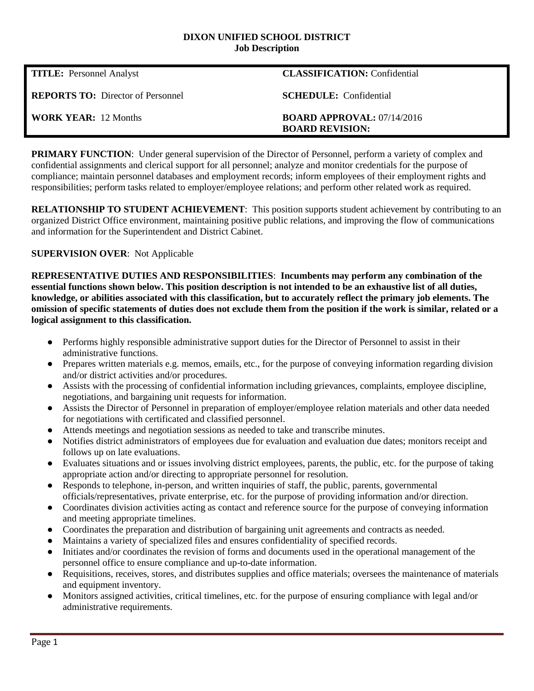#### **DIXON UNIFIED SCHOOL DISTRICT Job Description**

| <b>TITLE:</b> Personnel Analyst          | <b>CLASSIFICATION:</b> Confidential                           |
|------------------------------------------|---------------------------------------------------------------|
| <b>REPORTS TO:</b> Director of Personnel | <b>SCHEDULE:</b> Confidential                                 |
| <b>WORK YEAR:</b> 12 Months              | <b>BOARD APPROVAL:</b> $07/14/2016$<br><b>BOARD REVISION:</b> |

**PRIMARY FUNCTION:** Under general supervision of the Director of Personnel, perform a variety of complex and confidential assignments and clerical support for all personnel; analyze and monitor credentials for the purpose of compliance; maintain personnel databases and employment records; inform employees of their employment rights and responsibilities; perform tasks related to employer/employee relations; and perform other related work as required.

**RELATIONSHIP TO STUDENT ACHIEVEMENT:** This position supports student achievement by contributing to an organized District Office environment, maintaining positive public relations, and improving the flow of communications and information for the Superintendent and District Cabinet.

### **SUPERVISION OVER**: Not Applicable

**REPRESENTATIVE DUTIES AND RESPONSIBILITIES**: **Incumbents may perform any combination of the essential functions shown below. This position description is not intended to be an exhaustive list of all duties, knowledge, or abilities associated with this classification, but to accurately reflect the primary job elements. The omission of specific statements of duties does not exclude them from the position if the work is similar, related or a logical assignment to this classification.**

- Performs highly responsible administrative support duties for the Director of Personnel to assist in their administrative functions.
- Prepares written materials e.g. memos, emails, etc., for the purpose of conveying information regarding division and/or district activities and/or procedures.
- Assists with the processing of confidential information including grievances, complaints, employee discipline, negotiations, and bargaining unit requests for information.
- Assists the Director of Personnel in preparation of employer/employee relation materials and other data needed for negotiations with certificated and classified personnel.
- Attends meetings and negotiation sessions as needed to take and transcribe minutes.
- Notifies district administrators of employees due for evaluation and evaluation due dates; monitors receipt and follows up on late evaluations.
- Evaluates situations and or issues involving district employees, parents, the public, etc. for the purpose of taking appropriate action and/or directing to appropriate personnel for resolution.
- Responds to telephone, in-person, and written inquiries of staff, the public, parents, governmental officials/representatives, private enterprise, etc. for the purpose of providing information and/or direction.
- Coordinates division activities acting as contact and reference source for the purpose of conveying information and meeting appropriate timelines.
- Coordinates the preparation and distribution of bargaining unit agreements and contracts as needed.
- Maintains a variety of specialized files and ensures confidentiality of specified records.
- Initiates and/or coordinates the revision of forms and documents used in the operational management of the personnel office to ensure compliance and up-to-date information.
- Requisitions, receives, stores, and distributes supplies and office materials; oversees the maintenance of materials and equipment inventory.
- Monitors assigned activities, critical timelines, etc. for the purpose of ensuring compliance with legal and/or administrative requirements.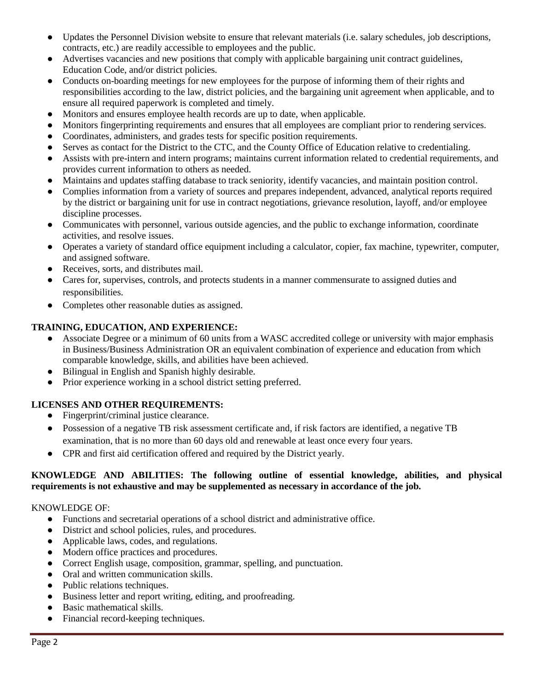- Updates the Personnel Division website to ensure that relevant materials (i.e. salary schedules, job descriptions, contracts, etc.) are readily accessible to employees and the public.
- Advertises vacancies and new positions that comply with applicable bargaining unit contract guidelines, Education Code, and/or district policies.
- Conducts on-boarding meetings for new employees for the purpose of informing them of their rights and responsibilities according to the law, district policies, and the bargaining unit agreement when applicable, and to ensure all required paperwork is completed and timely.
- Monitors and ensures employee health records are up to date, when applicable.
- Monitors fingerprinting requirements and ensures that all employees are compliant prior to rendering services.
- Coordinates, administers, and grades tests for specific position requirements.
- Serves as contact for the District to the CTC, and the County Office of Education relative to credentialing.
- Assists with pre-intern and intern programs; maintains current information related to credential requirements, and provides current information to others as needed.
- Maintains and updates staffing database to track seniority, identify vacancies, and maintain position control.
- Complies information from a variety of sources and prepares independent, advanced, analytical reports required by the district or bargaining unit for use in contract negotiations, grievance resolution, layoff, and/or employee discipline processes.
- Communicates with personnel, various outside agencies, and the public to exchange information, coordinate activities, and resolve issues.
- Operates a variety of standard office equipment including a calculator, copier, fax machine, typewriter, computer, and assigned software.
- Receives, sorts, and distributes mail.
- Cares for, supervises, controls, and protects students in a manner commensurate to assigned duties and responsibilities.
- Completes other reasonable duties as assigned.

## **TRAINING, EDUCATION, AND EXPERIENCE:**

- Associate Degree or a minimum of 60 units from a WASC accredited college or university with major emphasis in Business/Business Administration OR an equivalent combination of experience and education from which comparable knowledge, skills, and abilities have been achieved.
- Bilingual in English and Spanish highly desirable.
- Prior experience working in a school district setting preferred.

# **LICENSES AND OTHER REQUIREMENTS:**

- Fingerprint/criminal justice clearance.
- Possession of a negative TB risk assessment certificate and, if risk factors are identified, a negative TB examination, that is no more than 60 days old and renewable at least once every four years.
- CPR and first aid certification offered and required by the District yearly.

### **KNOWLEDGE AND ABILITIES: The following outline of essential knowledge, abilities, and physical requirements is not exhaustive and may be supplemented as necessary in accordance of the job.**

### KNOWLEDGE OF:

- Functions and secretarial operations of a school district and administrative office.
- District and school policies, rules, and procedures.
- Applicable laws, codes, and regulations.
- Modern office practices and procedures.
- Correct English usage, composition, grammar, spelling, and punctuation.
- Oral and written communication skills.
- Public relations techniques.
- Business letter and report writing, editing, and proofreading.
- Basic mathematical skills.
- Financial record-keeping techniques.